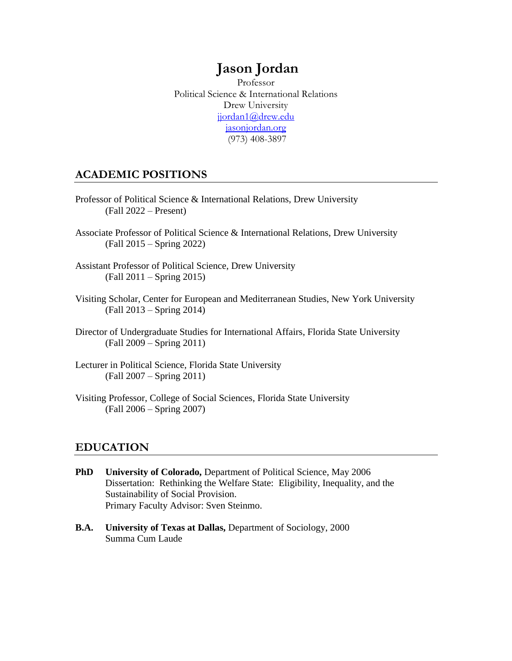# **Jason Jordan**

Professor Political Science & International Relations Drew University [jjordan1@drew.edu](mailto:jason.jordan@gmx.com) jasonjordan.org (973) 408-3897

# **ACADEMIC POSITIONS**

- Professor of Political Science & International Relations, Drew University (Fall 2022 – Present)
- Associate Professor of Political Science & International Relations, Drew University (Fall 2015 – Spring 2022)
- Assistant Professor of Political Science, Drew University (Fall 2011 – Spring 2015)
- Visiting Scholar, Center for European and Mediterranean Studies, New York University (Fall 2013 – Spring 2014)
- Director of Undergraduate Studies for International Affairs, Florida State University (Fall 2009 – Spring 2011)
- Lecturer in Political Science, Florida State University (Fall 2007 – Spring 2011)
- Visiting Professor, College of Social Sciences, Florida State University (Fall 2006 – Spring 2007)

# **EDUCATION**

- **PhD** University of Colorado, Department of Political Science, May 2006 Dissertation: Rethinking the Welfare State: Eligibility, Inequality, and the Sustainability of Social Provision. Primary Faculty Advisor: Sven Steinmo.
- **B.A. University of Texas at Dallas,** Department of Sociology, 2000 Summa Cum Laude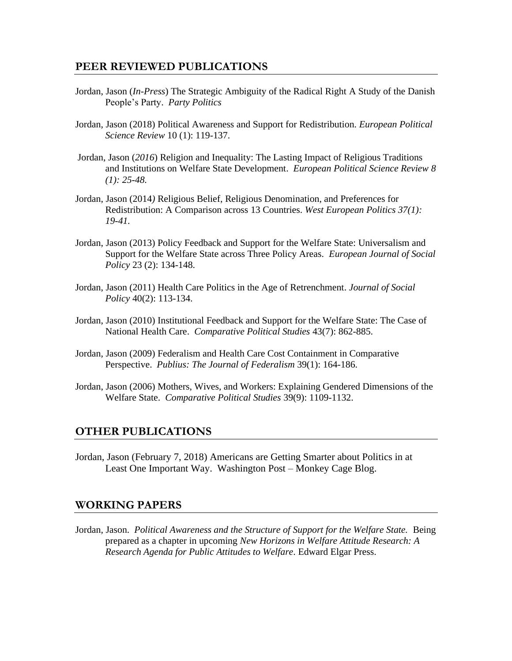### **PEER REVIEWED PUBLICATIONS**

- Jordan, Jason (*In-Press*) The Strategic Ambiguity of the Radical Right A Study of the Danish People's Party. *Party Politics*
- Jordan, Jason (2018) Political Awareness and Support for Redistribution. *European Political Science Review* 10 (1): 119-137.
- Jordan, Jason (*2016*) Religion and Inequality: The Lasting Impact of Religious Traditions and Institutions on Welfare State Development. *European Political Science Review 8 (1): 25-48.*
- Jordan, Jason (2014*)* Religious Belief, Religious Denomination, and Preferences for Redistribution: A Comparison across 13 Countries. *West European Politics 37(1): 19-41.*
- Jordan, Jason (2013) Policy Feedback and Support for the Welfare State: Universalism and Support for the Welfare State across Three Policy Areas. *European Journal of Social Policy* 23 (2): 134-148.
- Jordan, Jason (2011) Health Care Politics in the Age of Retrenchment. *Journal of Social Policy* 40(2): 113-134.
- Jordan, Jason (2010) Institutional Feedback and Support for the Welfare State: The Case of National Health Care. *Comparative Political Studies* 43(7): 862-885.
- Jordan, Jason (2009) Federalism and Health Care Cost Containment in Comparative Perspective. *Publius: The Journal of Federalism* 39(1): 164-186.
- Jordan, Jason (2006) Mothers, Wives, and Workers: Explaining Gendered Dimensions of the Welfare State. *Comparative Political Studies* 39(9): 1109-1132.

#### **OTHER PUBLICATIONS**

Jordan, Jason (February 7, 2018) Americans are Getting Smarter about Politics in at Least One Important Way. Washington Post – Monkey Cage Blog.

#### **WORKING PAPERS**

Jordan, Jason. *Political Awareness and the Structure of Support for the Welfare State.* Being prepared as a chapter in upcoming *New Horizons in Welfare Attitude Research: A Research Agenda for Public Attitudes to Welfare.* Edward Elgar Press.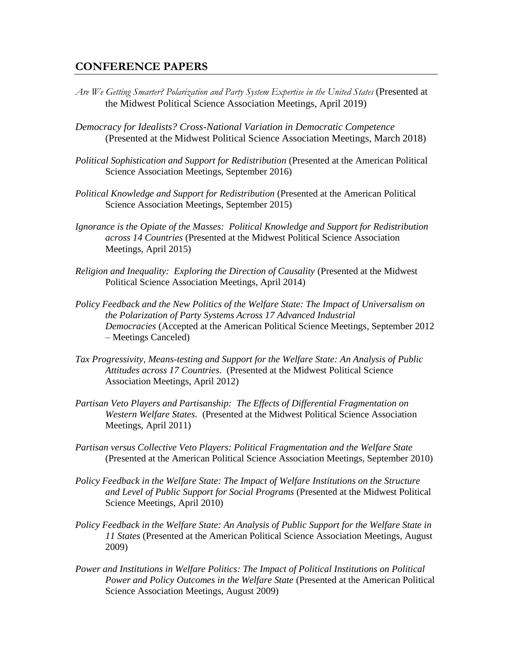### **CONFERENCE PAPERS**

- *Are We Getting Smarter? Polarization and Party System Expertise in the United States* (Presented at the Midwest Political Science Association Meetings, April 2019)
- *Democracy for Idealists? Cross-National Variation in Democratic Competence* (Presented at the Midwest Political Science Association Meetings, March 2018)
- *Political Sophistication and Support for Redistribution* (Presented at the American Political Science Association Meetings, September 2016)
- *Political Knowledge and Support for Redistribution* (Presented at the American Political Science Association Meetings, September 2015)
- *Ignorance is the Opiate of the Masses: Political Knowledge and Support for Redistribution across 14 Countries* (Presented at the Midwest Political Science Association Meetings, April 2015)
- *Religion and Inequality: Exploring the Direction of Causality (Presented at the Midwest* Political Science Association Meetings, April 2014)
- *Policy Feedback and the New Politics of the Welfare State: The Impact of Universalism on the Polarization of Party Systems Across 17 Advanced Industrial Democracies* (Accepted at the American Political Science Meetings, September 2012 – Meetings Canceled)
- *Tax Progressivity, Means-testing and Support for the Welfare State: An Analysis of Public Attitudes across 17 Countries*. (Presented at the Midwest Political Science Association Meetings, April 2012)
- *Partisan Veto Players and Partisanship: The Effects of Differential Fragmentation on Western Welfare States.* (Presented at the Midwest Political Science Association Meetings, April 2011)
- *Partisan versus Collective Veto Players: Political Fragmentation and the Welfare State*  (Presented at the American Political Science Association Meetings, September 2010)
- *Policy Feedback in the Welfare State: The Impact of Welfare Institutions on the Structure and Level of Public Support for Social Programs* (Presented at the Midwest Political Science Meetings, April 2010)
- *Policy Feedback in the Welfare State: An Analysis of Public Support for the Welfare State in 11 States* (Presented at the American Political Science Association Meetings, August 2009)
- *Power and Institutions in Welfare Politics: The Impact of Political Institutions on Political Power and Policy Outcomes in the Welfare State* (Presented at the American Political Science Association Meetings, August 2009)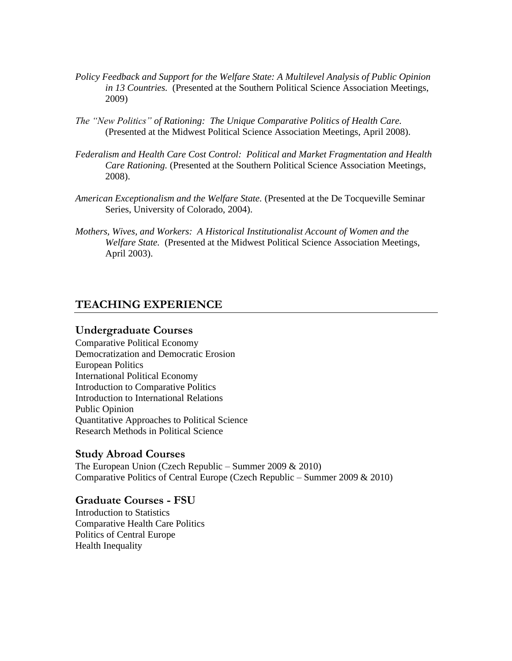- *Policy Feedback and Support for the Welfare State: A Multilevel Analysis of Public Opinion in 13 Countries.* (Presented at the Southern Political Science Association Meetings, 2009)
- *The "New Politics" of Rationing: The Unique Comparative Politics of Health Care.*  (Presented at the Midwest Political Science Association Meetings, April 2008).
- *Federalism and Health Care Cost Control: Political and Market Fragmentation and Health Care Rationing.* (Presented at the Southern Political Science Association Meetings, 2008).
- *American Exceptionalism and the Welfare State.* (Presented at the De Tocqueville Seminar Series, University of Colorado, 2004).
- *Mothers, Wives, and Workers: A Historical Institutionalist Account of Women and the Welfare State.* (Presented at the Midwest Political Science Association Meetings, April 2003).

#### **TEACHING EXPERIENCE**

#### **Undergraduate Courses**

Comparative Political Economy Democratization and Democratic Erosion European Politics International Political Economy Introduction to Comparative Politics Introduction to International Relations Public Opinion Quantitative Approaches to Political Science Research Methods in Political Science

#### **Study Abroad Courses**

The European Union (Czech Republic – Summer 2009  $& 2010$ ) Comparative Politics of Central Europe (Czech Republic – Summer 2009 & 2010)

#### **Graduate Courses - FSU**

Introduction to Statistics Comparative Health Care Politics Politics of Central Europe Health Inequality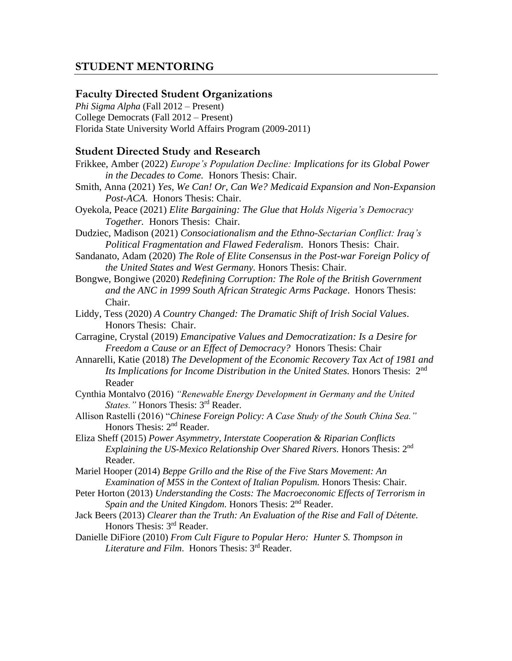# **STUDENT MENTORING**

#### **Faculty Directed Student Organizations**

*Phi Sigma Alpha* (Fall 2012 – Present) College Democrats (Fall 2012 – Present) Florida State University World Affairs Program (2009-2011)

#### **Student Directed Study and Research**

- Frikkee, Amber (2022) *Europe's Population Decline: Implications for its Global Power in the Decades to Come.* Honors Thesis: Chair.
- Smith, Anna (2021) *Yes, We Can! Or, Can We? Medicaid Expansion and Non-Expansion Post-ACA.* Honors Thesis: Chair.
- Oyekola, Peace (2021) *Elite Bargaining: The Glue that Holds Nigeria's Democracy Together.* Honors Thesis: Chair.

Dudziec, Madison (2021) *Consociationalism and the Ethno-Sectarian Conflict: Iraq's Political Fragmentation and Flawed Federalism*. Honors Thesis: Chair.

- Sandanato, Adam (2020) *The Role of Elite Consensus in the Post-war Foreign Policy of the United States and West Germany.* Honors Thesis: Chair.
- Bongwe, Bongiwe (2020) *Redefining Corruption: The Role of the British Government and the ANC in 1999 South African Strategic Arms Package*. Honors Thesis: Chair.
- Liddy, Tess (2020) *A Country Changed: The Dramatic Shift of Irish Social Values*. Honors Thesis: Chair.

Carragine, Crystal (2019) *Emancipative Values and Democratization: Is a Desire for Freedom a Cause or an Effect of Democracy?* Honors Thesis: Chair

- Annarelli, Katie (2018) *The Development of the Economic Recovery Tax Act of 1981 and*  Its Implications for Income Distribution in the United States. Honors Thesis: 2<sup>nd</sup> Reader
- Cynthia Montalvo (2016) *"Renewable Energy Development in Germany and the United States.*" Honors Thesis: 3<sup>rd</sup> Reader.
- Allison Rastelli (2016) "*Chinese Foreign Policy: A Case Study of the South China Sea."* Honors Thesis: 2<sup>nd</sup> Reader.
- Eliza Sheff (2015) *Power Asymmetry, Interstate Cooperation & Riparian Conflicts Explaining the US-Mexico Relationship Over Shared Rivers.* Honors Thesis: 2nd Reader.

Mariel Hooper (2014) *Beppe Grillo and the Rise of the Five Stars Movement: An Examination of M5S in the Context of Italian Populism.* Honors Thesis: Chair.

Peter Horton (2013) *Understanding the Costs: The Macroeconomic Effects of Terrorism in*  Spain and the United Kingdom. Honors Thesis: 2<sup>nd</sup> Reader.

- Jack Beers (2013) *Clearer than the Truth: An Evaluation of the Rise and Fall of Détente.*  Honors Thesis: 3rd Reader.
- Danielle DiFiore (2010) *From Cult Figure to Popular Hero: Hunter S. Thompson in Literature and Film*. Honors Thesis: 3rd Reader.